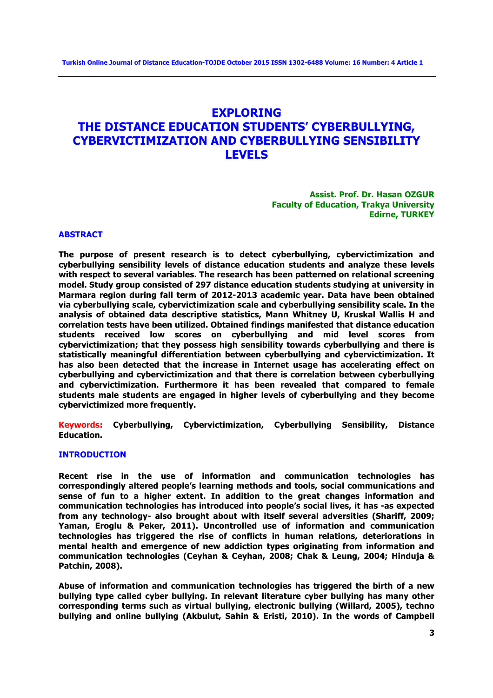# **EXPLORING THE DISTANCE EDUCATION STUDENTS' CYBERBULLYING, CYBERVICTIMIZATION AND CYBERBULLYING SENSIBILITY LEVELS**

**Assist. Prof. Dr. Hasan OZGUR Faculty of Education, Trakya University Edirne, TURKEY**

#### **ABSTRACT**

**The purpose of present research is to detect cyberbullying, cybervictimization and cyberbullying sensibility levels of distance education students and analyze these levels with respect to several variables. The research has been patterned on relational screening model. Study group consisted of 297 distance education students studying at university in Marmara region during fall term of 2012-2013 academic year. Data have been obtained via cyberbullying scale, cybervictimization scale and cyberbullying sensibility scale. In the analysis of obtained data descriptive statistics, Mann Whitney U, Kruskal Wallis H and correlation tests have been utilized. Obtained findings manifested that distance education students received low scores on cyberbullying and mid level scores from cybervictimization; that they possess high sensibility towards cyberbullying and there is statistically meaningful differentiation between cyberbullying and cybervictimization. It has also been detected that the increase in Internet usage has accelerating effect on cyberbullying and cybervictimization and that there is correlation between cyberbullying and cybervictimization. Furthermore it has been revealed that compared to female students male students are engaged in higher levels of cyberbullying and they become cybervictimized more frequently.**

**Keywords: Cyberbullying, Cybervictimization, Cyberbullying Sensibility, Distance Education.**

#### **INTRODUCTION**

**Recent rise in the use of information and communication technologies has correspondingly altered people's learning methods and tools, social communications and sense of fun to a higher extent. In addition to the great changes information and communication technologies has introduced into people's social lives, it has -as expected from any technology- also brought about with itself several adversities (Shariff, 2009; Yaman, Eroglu & Peker, 2011). Uncontrolled use of information and communication technologies has triggered the rise of conflicts in human relations, deteriorations in mental health and emergence of new addiction types originating from information and communication technologies (Ceyhan & Ceyhan, 2008; Chak & Leung, 2004; Hinduja & Patchin, 2008).** 

**Abuse of information and communication technologies has triggered the birth of a new bullying type called cyber bullying. In relevant literature cyber bullying has many other corresponding terms such as virtual bullying, electronic bullying (Willard, 2005), techno bullying and online bullying (Akbulut, Sahin & Eristi, 2010). In the words of Campbell**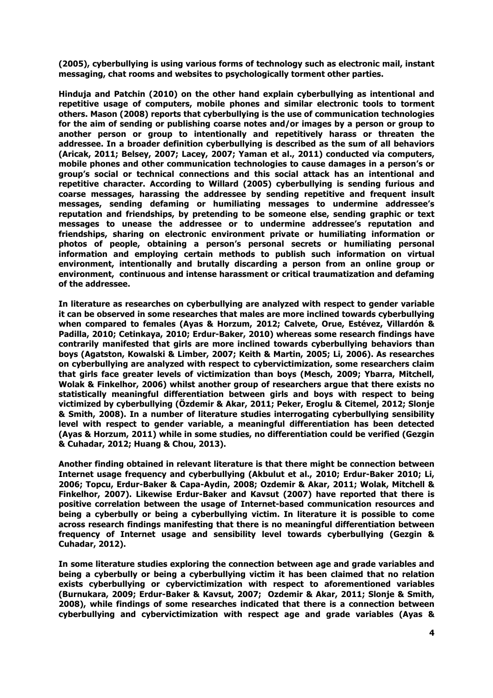**(2005), cyberbullying is using various forms of technology such as electronic mail, instant messaging, chat rooms and websites to psychologically torment other parties.** 

**Hinduja and Patchin (2010) on the other hand explain cyberbullying as intentional and repetitive usage of computers, mobile phones and similar electronic tools to torment others. Mason (2008) reports that cyberbullying is the use of communication technologies for the aim of sending or publishing coarse notes and/or images by a person or group to another person or group to intentionally and repetitively harass or threaten the addressee. In a broader definition cyberbullying is described as the sum of all behaviors (Aricak, 2011; Belsey, 2007; Lacey, 2007; Yaman et al., 2011) conducted via computers, mobile phones and other communication technologies to cause damages in a person's or group's social or technical connections and this social attack has an intentional and repetitive character. According to Willard (2005) cyberbullying is sending furious and coarse messages, harassing the addressee by sending repetitive and frequent insult messages, sending defaming or humiliating messages to undermine addressee's reputation and friendships, by pretending to be someone else, sending graphic or text messages to unease the addressee or to undermine addressee's reputation and friendships, sharing on electronic environment private or humiliating information or photos of people, obtaining a person's personal secrets or humiliating personal information and employing certain methods to publish such information on virtual environment, intentionally and brutally discarding a person from an online group or environment, continuous and intense harassment or critical traumatization and defaming of the addressee.**

**In literature as researches on cyberbullying are analyzed with respect to gender variable it can be observed in some researches that males are more inclined towards cyberbullying when compared to females (Ayas & Horzum, 2012; Calvete, Orue, Estévez, Villardón & Padilla, 2010; Cetinkaya, 2010; Erdur-Baker, 2010) whereas some research findings have contrarily manifested that girls are more inclined towards cyberbullying behaviors than boys (Agatston, Kowalski & Limber, 2007; Keith & Martin, 2005; Li, 2006). As researches on cyberbullying are analyzed with respect to cybervictimization, some researchers claim that girls face greater levels of victimization than boys (Mesch, 2009; Ybarra, Mitchell, Wolak & Finkelhor, 2006) whilst another group of researchers argue that there exists no statistically meaningful differentiation between girls and boys with respect to being victimized by cyberbullying (Özdemir & Akar, 2011; Peker, Eroglu & Citemel, 2012; Slonje & Smith, 2008). In a number of literature studies interrogating cyberbullying sensibility level with respect to gender variable, a meaningful differentiation has been detected (Ayas & Horzum, 2011) while in some studies, no differentiation could be verified (Gezgin & Cuhadar, 2012; Huang & Chou, 2013).**

**Another finding obtained in relevant literature is that there might be connection between Internet usage frequency and cyberbullying (Akbulut et al., 2010; Erdur-Baker 2010; Li, 2006; Topcu, Erdur-Baker & Capa-Aydin, 2008; Ozdemir & Akar, 2011; Wolak, Mitchell & Finkelhor, 2007). Likewise Erdur-Baker and Kavsut (2007) have reported that there is positive correlation between the usage of Internet-based communication resources and being a cyberbully or being a cyberbullying victim. In literature it is possible to come across research findings manifesting that there is no meaningful differentiation between frequency of Internet usage and sensibility level towards cyberbullying (Gezgin & Cuhadar, 2012).**

**In some literature studies exploring the connection between age and grade variables and being a cyberbully or being a cyberbullying victim it has been claimed that no relation exists cyberbullying or cybervictimization with respect to aforementioned variables (Burnukara, 2009; Erdur-Baker & Kavsut, 2007; Ozdemir & Akar, 2011; Slonje & Smith, 2008), while findings of some researches indicated that there is a connection between cyberbullying and cybervictimization with respect age and grade variables (Ayas &**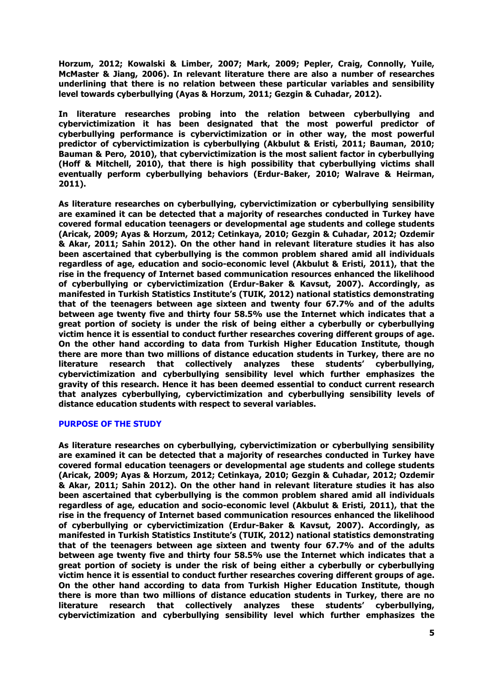**Horzum, 2012; Kowalski & Limber, 2007; Mark, 2009; Pepler, Craig, Connolly, Yuile, McMaster & Jiang, 2006). In relevant literature there are also a number of researches underlining that there is no relation between these particular variables and sensibility level towards cyberbullying (Ayas & Horzum, 2011; Gezgin & Cuhadar, 2012).**

**In literature researches probing into the relation between cyberbullying and cybervictimization it has been designated that the most powerful predictor of cyberbullying performance is cybervictimization or in other way, the most powerful predictor of cybervictimization is cyberbullying (Akbulut & Eristi, 2011; Bauman, 2010; Bauman & Pero, 2010), that cybervictimization is the most salient factor in cyberbullying (Hoff & Mitchell, 2010), that there is high possibility that cyberbullying victims shall eventually perform cyberbullying behaviors (Erdur-Baker, 2010; Walrave & Heirman, 2011).**

**As literature researches on cyberbullying, cybervictimization or cyberbullying sensibility are examined it can be detected that a majority of researches conducted in Turkey have covered formal education teenagers or developmental age students and college students (Aricak, 2009; Ayas & Horzum, 2012; Cetinkaya, 2010; Gezgin & Cuhadar, 2012; Ozdemir & Akar, 2011; Sahin 2012). On the other hand in relevant literature studies it has also been ascertained that cyberbullying is the common problem shared amid all individuals regardless of age, education and socio-economic level (Akbulut & Eristi, 2011), that the rise in the frequency of Internet based communication resources enhanced the likelihood of cyberbullying or cybervictimization (Erdur-Baker & Kavsut, 2007). Accordingly, as manifested in Turkish Statistics Institute's (TUIK, 2012) national statistics demonstrating that of the teenagers between age sixteen and twenty four 67.7% and of the adults between age twenty five and thirty four 58.5% use the Internet which indicates that a great portion of society is under the risk of being either a cyberbully or cyberbullying victim hence it is essential to conduct further researches covering different groups of age. On the other hand according to data from Turkish Higher Education Institute, though there are more than two millions of distance education students in Turkey, there are no literature research that collectively analyzes these students' cyberbullying, cybervictimization and cyberbullying sensibility level which further emphasizes the gravity of this research. Hence it has been deemed essential to conduct current research that analyzes cyberbullying, cybervictimization and cyberbullying sensibility levels of distance education students with respect to several variables.**

# **PURPOSE OF THE STUDY**

**As literature researches on cyberbullying, cybervictimization or cyberbullying sensibility are examined it can be detected that a majority of researches conducted in Turkey have covered formal education teenagers or developmental age students and college students (Aricak, 2009; Ayas & Horzum, 2012; Cetinkaya, 2010; Gezgin & Cuhadar, 2012; Ozdemir & Akar, 2011; Sahin 2012). On the other hand in relevant literature studies it has also been ascertained that cyberbullying is the common problem shared amid all individuals regardless of age, education and socio-economic level (Akbulut & Eristi, 2011), that the rise in the frequency of Internet based communication resources enhanced the likelihood of cyberbullying or cybervictimization (Erdur-Baker & Kavsut, 2007). Accordingly, as manifested in Turkish Statistics Institute's (TUIK, 2012) national statistics demonstrating that of the teenagers between age sixteen and twenty four 67.7% and of the adults between age twenty five and thirty four 58.5% use the Internet which indicates that a great portion of society is under the risk of being either a cyberbully or cyberbullying victim hence it is essential to conduct further researches covering different groups of age. On the other hand according to data from Turkish Higher Education Institute, though there is more than two millions of distance education students in Turkey, there are no literature research that collectively analyzes these students' cyberbullying, cybervictimization and cyberbullying sensibility level which further emphasizes the**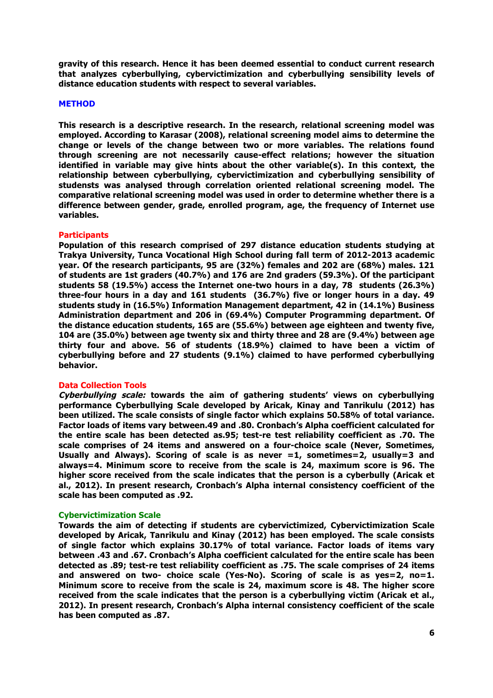**gravity of this research. Hence it has been deemed essential to conduct current research that analyzes cyberbullying, cybervictimization and cyberbullying sensibility levels of distance education students with respect to several variables.**

#### **METHOD**

**This research is a descriptive research. In the research, relational screening model was employed. According to Karasar (2008), relational screening model aims to determine the change or levels of the change between two or more variables. The relations found through screening are not necessarily cause-effect relations; however the situation identified in variable may give hints about the other variable(s). In this context, the relationship between cyberbullying, cybervictimization and cyberbullying sensibility of studensts was analysed through correlation oriented relational screening model. The comparative relational screening model was used in order to determine whether there is a difference between gender, grade, enrolled program, age, the frequency of Internet use variables.** 

# **Participants**

**Population of this research comprised of 297 distance education students studying at Trakya University, Tunca Vocational High School during fall term of 2012-2013 academic year. Of the research participants, 95 are (32%) females and 202 are (68%) males. 121 of students are 1st graders (40.7%) and 176 are 2nd graders (59.3%). Of the participant students 58 (19.5%) access the Internet one-two hours in a day, 78 students (26.3%) three-four hours in a day and 161 students (36.7%) five or longer hours in a day. 49 students study in (16.5%) Information Management department, 42 in (14.1%) Business Administration department and 206 in (69.4%) Computer Programming department. Of the distance education students, 165 are (55.6%) between age eighteen and twenty five, 104 are (35.0%) between age twenty six and thirty three and 28 are (9.4%) between age thirty four and above. 56 of students (18.9%) claimed to have been a victim of cyberbullying before and 27 students (9.1%) claimed to have performed cyberbullying behavior.**

#### **Data Collection Tools**

**Cyberbullying scale: towards the aim of gathering students' views on cyberbullying performance Cyberbullying Scale developed by Aricak, Kinay and Tanrikulu (2012) has been utilized. The scale consists of single factor which explains 50.58% of total variance. Factor loads of items vary between.49 and .80. Cronbach's Alpha coefficient calculated for the entire scale has been detected as.95; test-re test reliability coefficient as .70. The scale comprises of 24 items and answered on a four-choice scale (Never, Sometimes, Usually and Always). Scoring of scale is as never =1, sometimes=2, usually=3 and always=4. Minimum score to receive from the scale is 24, maximum score is 96. The higher score received from the scale indicates that the person is a cyberbully (Aricak et al., 2012). In present research, Cronbach's Alpha internal consistency coefficient of the scale has been computed as .92.**

#### **Cybervictimization Scale**

**Towards the aim of detecting if students are cybervictimized, Cybervictimization Scale developed by Aricak, Tanrikulu and Kinay (2012) has been employed. The scale consists of single factor which explains 30.17% of total variance. Factor loads of items vary between .43 and .67. Cronbach's Alpha coefficient calculated for the entire scale has been detected as .89; test-re test reliability coefficient as .75. The scale comprises of 24 items and answered on two- choice scale (Yes-No). Scoring of scale is as yes=2, no=1. Minimum score to receive from the scale is 24, maximum score is 48. The higher score received from the scale indicates that the person is a cyberbullying victim (Aricak et al., 2012). In present research, Cronbach's Alpha internal consistency coefficient of the scale has been computed as .87.**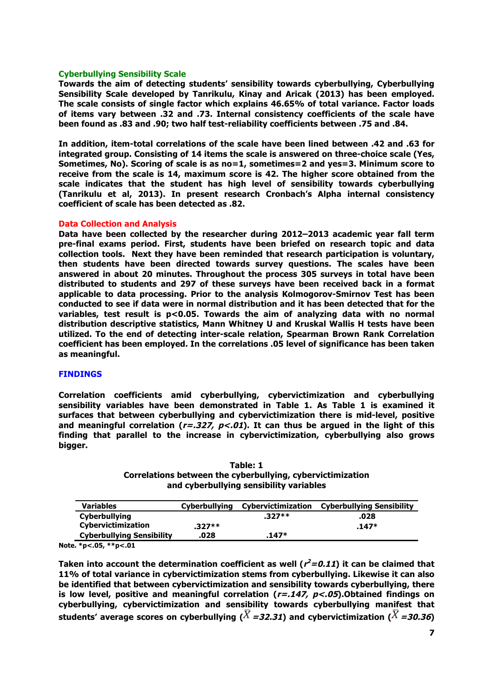#### **Cyberbullying Sensibility Scale**

**Towards the aim of detecting students' sensibility towards cyberbullying, Cyberbullying Sensibility Scale developed by Tanrikulu, Kinay and Aricak (2013) has been employed. The scale consists of single factor which explains 46.65% of total variance. Factor loads of items vary between .32 and .73. Internal consistency coefficients of the scale have been found as .83 and .90; two half test-reliability coefficients between .75 and .84.** 

**In addition, item-total correlations of the scale have been lined between .42 and .63 for integrated group. Consisting of 14 items the scale is answered on three-choice scale (Yes, Sometimes, No). Scoring of scale is as no=1, sometimes=2 and yes=3. Minimum score to receive from the scale is 14, maximum score is 42. The higher score obtained from the scale indicates that the student has high level of sensibility towards cyberbullying (Tanrikulu et al, 2013). In present research Cronbach's Alpha internal consistency coefficient of scale has been detected as .82.**

### **Data Collection and Analysis**

**Data have been collected by the researcher during 2012–2013 academic year fall term pre-final exams period. First, students have been briefed on research topic and data collection tools. Next they have been reminded that research participation is voluntary, then students have been directed towards survey questions. The scales have been answered in about 20 minutes. Throughout the process 305 surveys in total have been distributed to students and 297 of these surveys have been received back in a format applicable to data processing. Prior to the analysis Kolmogorov-Smirnov Test has been conducted to see if data were in normal distribution and it has been detected that for the variables, test result is p<0.05. Towards the aim of analyzing data with no normal distribution descriptive statistics, Mann Whitney U and Kruskal Wallis H tests have been utilized. To the end of detecting inter-scale relation, Spearman Brown Rank Correlation coefficient has been employed. In the correlations .05 level of significance has been taken as meaningful.**

#### **FINDINGS**

**Correlation coefficients amid cyberbullying, cybervictimization and cyberbullying sensibility variables have been demonstrated in Table 1. As Table 1 is examined it surfaces that between cyberbullying and cybervictimization there is mid-level, positive and meaningful correlation (r=.327, p<.01). It can thus be argued in the light of this finding that parallel to the increase in cybervictimization, cyberbullying also grows bigger.** 

**Table: 1 Correlations between the cyberbullying, cybervictimization and cyberbullying sensibility variables**

| <b>Variables</b>                 | Cyberbullying | Cybervictimization | <b>Cyberbullying Sensibility</b> |
|----------------------------------|---------------|--------------------|----------------------------------|
| <b>Cyberbullying</b>             |               | $.327**$           | .028                             |
| <b>Cybervictimization</b>        | $.327**$      |                    | $.147*$                          |
| <b>Cyberbullying Sensibility</b> | .028          | $.147*$            |                                  |

**Note. \*p<.05, \*\*p<.01**

Taken into account the determination coefficient as well  $(r^2=0.11)$  it can be claimed that **11% of total variance in cybervictimization stems from cyberbullying. Likewise it can also be identified that between cybervictimization and sensibility towards cyberbullying, there is low level, positive and meaningful correlation (r=.147, p<.05).Obtained findings on cyberbullying, cybervictimization and sensibility towards cyberbullying manifest that**  students' average scores on cyberbullying ( $\overline{X}$  =32.31) and cybervictimization ( $\overline{X}$  =30.36)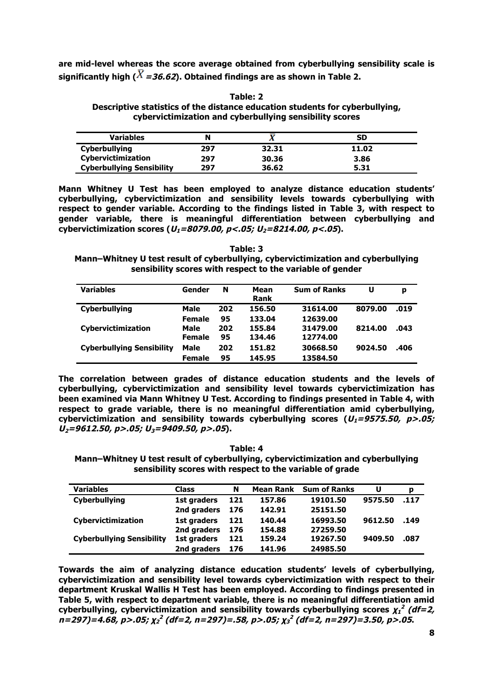**are mid-level whereas the score average obtained from cyberbullying sensibility scale is**  significantly high ( $\overline{X}$  = 36.62). Obtained findings are as shown in Table 2.

**Table: 2 Descriptive statistics of the distance education students for cyberbullying, cybervictimization and cyberbullying sensibility scores**

| <b>Variables</b>                 |     |       | SD    |
|----------------------------------|-----|-------|-------|
| Cyberbullying                    | 297 | 32.31 | 11.02 |
| Cybervictimization               | 297 | 30.36 | 3.86  |
| <b>Cyberbullying Sensibility</b> | 297 | 36.62 | 5.31  |

**Mann Whitney U Test has been employed to analyze distance education students' cyberbullying, cybervictimization and sensibility levels towards cyberbullying with respect to gender variable. According to the findings listed in Table 3, with respect to gender variable, there is meaningful differentiation between cyberbullying and**  cybervictimization scores  $(U_1=8079.00, p<.05; U_2=8214.00, p<.05)$ .

**Table: 3 Mann–Whitney U test result of cyberbullying, cybervictimization and cyberbullying sensibility scores with respect to the variable of gender**

| <b>Variables</b>                 | Gender                | N         | Mean<br>Rank     | <b>Sum of Ranks</b>  | U       | p    |
|----------------------------------|-----------------------|-----------|------------------|----------------------|---------|------|
| <b>Cyberbullying</b>             | Male                  | 202       | 156.50           | 31614.00             | 8079.00 | .019 |
|                                  | <b>Female</b>         | 95        | 133.04           | 12639.00             |         |      |
| Cybervictimization               | Male<br><b>Female</b> | 202<br>95 | 155.84<br>134.46 | 31479.00<br>12774.00 | 8214.00 | .043 |
| <b>Cyberbullying Sensibility</b> | Male                  | 202       | 151.82           | 30668.50             | 9024.50 | .406 |
|                                  | <b>Female</b>         | 95        | 145.95           | 13584.50             |         |      |

**The correlation between grades of distance education students and the levels of cyberbullying, cybervictimization and sensibility level towards cybervictimization has been examined via Mann Whitney U Test. According to findings presented in Table 4, with respect to grade variable, there is no meaningful differentiation amid cyberbullying,**  cybervictimization and sensibility towards cyberbullying scores  $(U_1=9575.50, p>05;$ **U2=9612.50, p>.05; U3=9409.50, p>.05).**

**Table: 4**

**Mann–Whitney U test result of cyberbullying, cybervictimization and cyberbullying sensibility scores with respect to the variable of grade**

| <b>Variables</b>                 | <b>Class</b> | N   | <b>Mean Rank</b> | <b>Sum of Ranks</b> | U       | p    |
|----------------------------------|--------------|-----|------------------|---------------------|---------|------|
| Cyberbullying                    | 1st graders  | 121 | 157.86           | 19101.50            | 9575.50 | .117 |
|                                  | 2nd graders  | 176 | 142.91           | 25151.50            |         |      |
| Cybervictimization               | 1st graders  | 121 | 140.44           | 16993.50            | 9612.50 | .149 |
|                                  | 2nd graders  | 176 | 154.88           | 27259.50            |         |      |
| <b>Cyberbullying Sensibility</b> | 1st graders  | 121 | 159.24           | 19267.50            | 9409.50 | .087 |
|                                  | 2nd graders  | 176 | 141.96           | 24985.50            |         |      |

**Towards the aim of analyzing distance education students' levels of cyberbullying, cybervictimization and sensibility level towards cybervictimization with respect to their department Kruskal Wallis H Test has been employed. According to findings presented in Table 5, with respect to department variable, there is no meaningful differentiation amid**  cyberbullying, cybervictimization and sensibility towards cyberbullying scores  $\chi_1^2$  (df=2, **n=297)=4.68, p>.05; χ<sup>2</sup> <sup>2</sup> (df=2, n=297)=.58, p>.05; <sup>χ</sup><sup>3</sup> <sup>2</sup> (df=2, n=297)=3.50, p>.05.**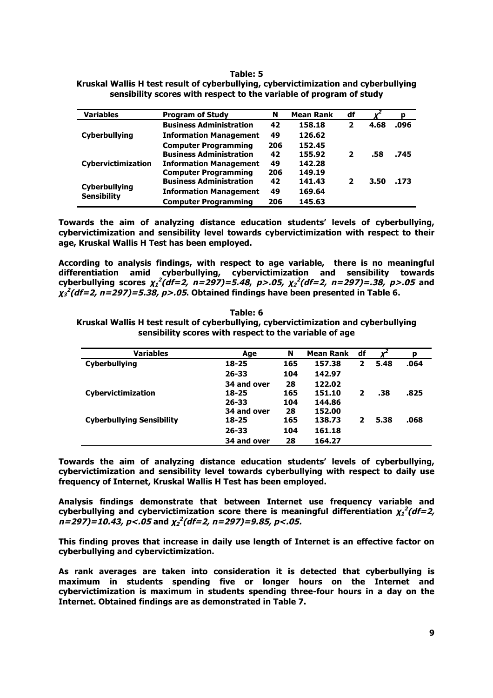#### **Table: 5**

| <b>Variables</b>                    | <b>Program of Study</b>        | N   | <b>Mean Rank</b> | df                      |      | p    |
|-------------------------------------|--------------------------------|-----|------------------|-------------------------|------|------|
|                                     | <b>Business Administration</b> | 42  | 158.18           | $\mathbf{2}$            | 4.68 | .096 |
| <b>Cyberbullying</b>                | <b>Information Management</b>  | 49  | 126.62           |                         |      |      |
|                                     | <b>Computer Programming</b>    | 206 | 152.45           |                         |      |      |
|                                     | <b>Business Administration</b> | 42  | 155.92           | $\overline{\mathbf{z}}$ | .58  | .745 |
| <b>Cybervictimization</b>           | <b>Information Management</b>  | 49  | 142.28           |                         |      |      |
|                                     | <b>Computer Programming</b>    | 206 | 149.19           |                         |      |      |
|                                     | <b>Business Administration</b> | 42  | 141.43           | 2                       | 3.50 | .173 |
| Cyberbullying<br><b>Sensibility</b> | <b>Information Management</b>  | 49  | 169.64           |                         |      |      |
|                                     | <b>Computer Programming</b>    | 206 | 145.63           |                         |      |      |

**Kruskal Wallis H test result of cyberbullying, cybervictimization and cyberbullying sensibility scores with respect to the variable of program of study**

**Towards the aim of analyzing distance education students' levels of cyberbullying, cybervictimization and sensibility level towards cybervictimization with respect to their age, Kruskal Wallis H Test has been employed.** 

**According to analysis findings, with respect to age variable, there is no meaningful differentiation amid cyberbullying, cybervictimization and sensibility towards cyberbullying scores χ<sup>1</sup> <sup>2</sup> (df=2, n=297)=5.48, p>.05, χ<sup>2</sup> <sup>2</sup> (df=2, n=297)=.38, p>.05 and χ<sup>3</sup> <sup>2</sup> (df=2, n=297)=5.38, p>.05. Obtained findings have been presented in Table 6.**

**Table: 6 Kruskal Wallis H test result of cyberbullying, cybervictimization and cyberbullying sensibility scores with respect to the variable of age**

| <b>Variables</b>                 | Age         | N   | <b>Mean Rank</b> | df | v    | р    |
|----------------------------------|-------------|-----|------------------|----|------|------|
| Cyberbullying                    | $18 - 25$   | 165 | 157.38           | 2  | 5.48 | .064 |
|                                  | $26 - 33$   | 104 | 142.97           |    |      |      |
|                                  | 34 and over | 28  | 122.02           |    |      |      |
| <b>Cybervictimization</b>        | 18-25       | 165 | 151.10           | 2  | .38  | .825 |
|                                  | $26 - 33$   | 104 | 144.86           |    |      |      |
|                                  | 34 and over | 28  | 152.00           |    |      |      |
| <b>Cyberbullying Sensibility</b> | $18 - 25$   | 165 | 138.73           | 2  | 5.38 | .068 |
|                                  | $26 - 33$   | 104 | 161.18           |    |      |      |
|                                  | 34 and over | 28  | 164.27           |    |      |      |

**Towards the aim of analyzing distance education students' levels of cyberbullying, cybervictimization and sensibility level towards cyberbullying with respect to daily use frequency of Internet, Kruskal Wallis H Test has been employed.** 

**Analysis findings demonstrate that between Internet use frequency variable and**  cyberbullying and cybervictimization score there is meaningful differentiation  $\chi_1^2(df=2$ , **n=297)=10.43, p<.05 and χ<sup>2</sup> <sup>2</sup> (df=2, n=297)=9.85, p<.05.**

**This finding proves that increase in daily use length of Internet is an effective factor on cyberbullying and cybervictimization.** 

**As rank averages are taken into consideration it is detected that cyberbullying is maximum in students spending five or longer hours on the Internet and cybervictimization is maximum in students spending three-four hours in a day on the Internet. Obtained findings are as demonstrated in Table 7.**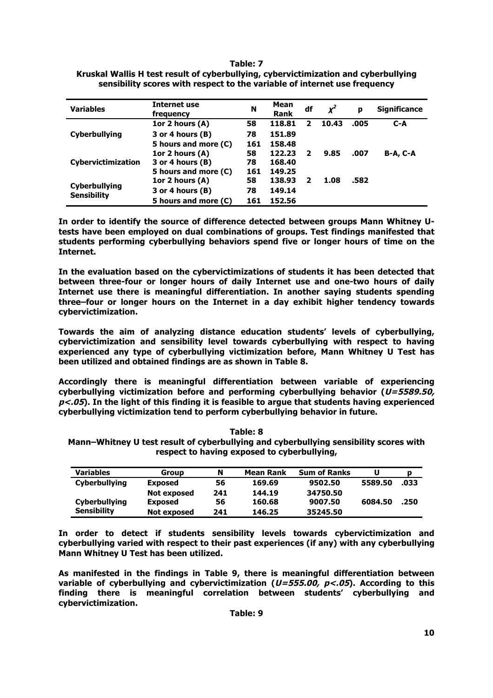**Table: 7**

| <b>Variables</b>                           | <b>Internet use</b><br>frequency | N   | Mean<br><b>Rank</b> | df | $x^2$ | р    | <b>Significance</b> |
|--------------------------------------------|----------------------------------|-----|---------------------|----|-------|------|---------------------|
|                                            | 1or 2 hours $(A)$                | 58  | 118.81              | 2  | 10.43 | .005 | $C-A$               |
| <b>Cyberbullying</b>                       | 3 or 4 hours (B)                 | 78  | 151.89              |    |       |      |                     |
|                                            | 5 hours and more (C)             | 161 | 158.48              |    |       |      |                     |
|                                            | 1or 2 hours $(A)$                | 58  | 122.23              | 2  | 9.85  | .007 | <b>B-A, C-A</b>     |
| <b>Cybervictimization</b>                  | 3 or 4 hours (B)                 | 78  | 168.40              |    |       |      |                     |
|                                            | 5 hours and more (C)             | 161 | 149.25              |    |       |      |                     |
|                                            | 1or 2 hours $(A)$                | 58  | 138.93              | 2  | 1.08  | .582 |                     |
| <b>Cyberbullying</b><br><b>Sensibility</b> | 3 or 4 hours (B)                 | 78  | 149.14              |    |       |      |                     |
|                                            | 5 hours and more (C)             | 161 | 152.56              |    |       |      |                     |

| -------                                                                             |  |
|-------------------------------------------------------------------------------------|--|
| Kruskal Wallis H test result of cyberbullying, cybervictimization and cyberbullying |  |
| sensibility scores with respect to the variable of internet use frequency           |  |

**In order to identify the source of difference detected between groups Mann Whitney Utests have been employed on dual combinations of groups. Test findings manifested that students performing cyberbullying behaviors spend five or longer hours of time on the Internet.** 

**In the evaluation based on the cybervictimizations of students it has been detected that between three-four or longer hours of daily Internet use and one-two hours of daily Internet use there is meaningful differentiation. In another saying students spending three–four or longer hours on the Internet in a day exhibit higher tendency towards cybervictimization.**

**Towards the aim of analyzing distance education students' levels of cyberbullying, cybervictimization and sensibility level towards cyberbullying with respect to having experienced any type of cyberbullying victimization before, Mann Whitney U Test has been utilized and obtained findings are as shown in Table 8.** 

**Accordingly there is meaningful differentiation between variable of experiencing cyberbullying victimization before and performing cyberbullying behavior (U=5589.50, p<.05). In the light of this finding it is feasible to argue that students having experienced cyberbullying victimization tend to perform cyberbullying behavior in future.**

| <b>Variables</b>     | Group          |     | <b>Mean Rank</b> | <b>Sum of Ranks</b> |         |      |
|----------------------|----------------|-----|------------------|---------------------|---------|------|
| <b>Cyberbullying</b> | <b>Exposed</b> | 56  | 169.69           | 9502.50             | 5589.50 | .033 |
|                      | Not exposed    | 241 | 144.19           | 34750.50            |         |      |

**Exposed 56 160.68 9007.50 6084.50 .250**

**Cyberbullying Sensibility**

**respect to having exposed to cyberbullying,**

**Table: 8 Mann–Whitney U test result of cyberbullying and cyberbullying sensibility scores with** 

**In order to detect if students sensibility levels towards cybervictimization and cyberbullying varied with respect to their past experiences (if any) with any cyberbullying Mann Whitney U Test has been utilized.** 

**Not exposed 241 146.25 35245.50**

**As manifested in the findings in Table 9, there is meaningful differentiation between variable of cyberbullying and cybervictimization (U=555.00, p<.05). According to this finding there is meaningful correlation between students' cyberbullying and cybervictimization.**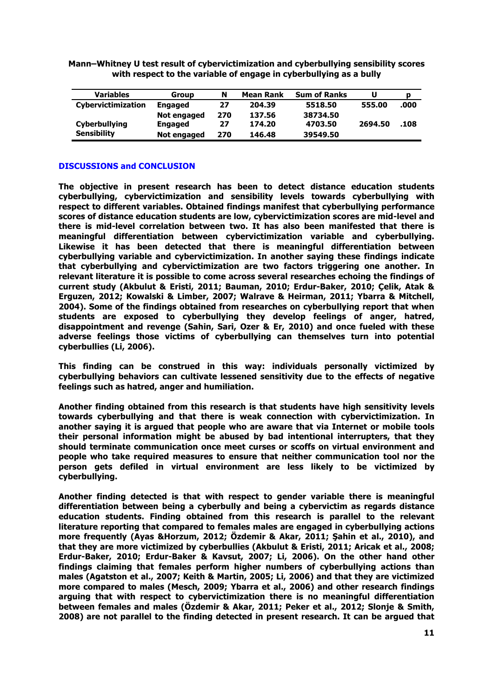**Mann–Whitney U test result of cybervictimization and cyberbullying sensibility scores with respect to the variable of engage in cyberbullying as a bully**

| <b>Variables</b>     | <b>Group</b>   | N   | <b>Mean Rank</b> | <b>Sum of Ranks</b> | U       | p    |
|----------------------|----------------|-----|------------------|---------------------|---------|------|
| Cybervictimization   | <b>Engaged</b> | 27  | 204.39           | 5518.50             | 555.00  | .000 |
|                      | Not engaged    | 270 | 137.56           | 38734.50            |         |      |
| <b>Cyberbullying</b> | <b>Engaged</b> | 27  | 174.20           | 4703.50             | 2694.50 | .108 |
| <b>Sensibility</b>   | Not engaged    | 270 | 146.48           | 39549.50            |         |      |

## **DISCUSSIONS and CONCLUSION**

**The objective in present research has been to detect distance education students cyberbullying, cybervictimization and sensibility levels towards cyberbullying with respect to different variables. Obtained findings manifest that cyberbullying performance scores of distance education students are low, cybervictimization scores are mid-level and there is mid-level correlation between two. It has also been manifested that there is meaningful differentiation between cybervictimization variable and cyberbullying. Likewise it has been detected that there is meaningful differentiation between cyberbullying variable and cybervictimization. In another saying these findings indicate that cyberbullying and cybervictimization are two factors triggering one another. In relevant literature it is possible to come across several researches echoing the findings of current study (Akbulut & Eristi, 2011; Bauman, 2010; Erdur-Baker, 2010; Çelik, Atak & Erguzen, 2012; Kowalski & Limber, 2007; Walrave & Heirman, 2011; Ybarra & Mitchell, 2004). Some of the findings obtained from researches on cyberbullying report that when students are exposed to cyberbullying they develop feelings of anger, hatred, disappointment and revenge (Sahin, Sari, Ozer & Er, 2010) and once fueled with these adverse feelings those victims of cyberbullying can themselves turn into potential cyberbullies (Li, 2006).** 

**This finding can be construed in this way: individuals personally victimized by cyberbullying behaviors can cultivate lessened sensitivity due to the effects of negative feelings such as hatred, anger and humiliation.** 

**Another finding obtained from this research is that students have high sensitivity levels towards cyberbullying and that there is weak connection with cybervictimization. In another saying it is argued that people who are aware that via Internet or mobile tools their personal information might be abused by bad intentional interrupters, that they should terminate communication once meet curses or scoffs on virtual environment and people who take required measures to ensure that neither communication tool nor the person gets defiled in virtual environment are less likely to be victimized by cyberbullying.**

**Another finding detected is that with respect to gender variable there is meaningful differentiation between being a cyberbully and being a cybervictim as regards distance education students. Finding obtained from this research is parallel to the relevant literature reporting that compared to females males are engaged in cyberbullying actions more frequently (Ayas &Horzum, 2012; Özdemir & Akar, 2011; Şahin et al., 2010), and that they are more victimized by cyberbullies (Akbulut & Eristi, 2011; Aricak et al., 2008; Erdur-Baker, 2010; Erdur-Baker & Kavsut, 2007; Li, 2006). On the other hand other findings claiming that females perform higher numbers of cyberbullying actions than males (Agatston et al., 2007; Keith & Martin, 2005; Li, 2006) and that they are victimized more compared to males (Mesch, 2009; Ybarra et al., 2006) and other research findings arguing that with respect to cybervictimization there is no meaningful differentiation between females and males (Özdemir & Akar, 2011; Peker et al., 2012; Slonje & Smith, 2008) are not parallel to the finding detected in present research. It can be argued that**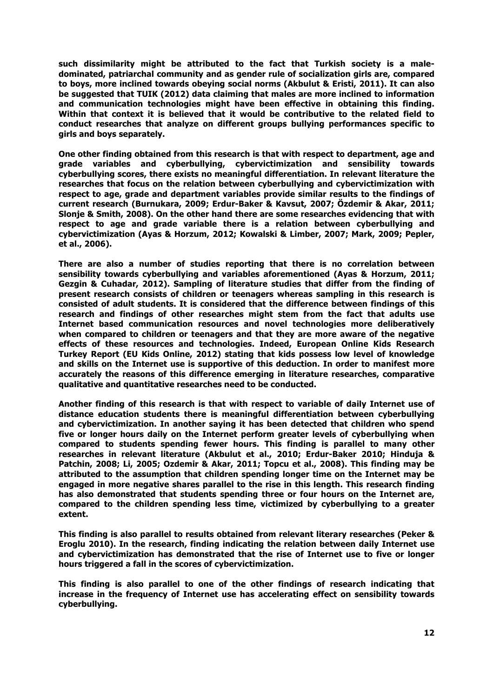**such dissimilarity might be attributed to the fact that Turkish society is a maledominated, patriarchal community and as gender rule of socialization girls are, compared to boys, more inclined towards obeying social norms (Akbulut & Eristi, 2011). It can also be suggested that TUIK (2012) data claiming that males are more inclined to information and communication technologies might have been effective in obtaining this finding. Within that context it is believed that it would be contributive to the related field to conduct researches that analyze on different groups bullying performances specific to girls and boys separately.**

**One other finding obtained from this research is that with respect to department, age and grade variables and cyberbullying, cybervictimization and sensibility towards cyberbullying scores, there exists no meaningful differentiation. In relevant literature the researches that focus on the relation between cyberbullying and cybervictimization with respect to age, grade and department variables provide similar results to the findings of current research (Burnukara, 2009; Erdur-Baker & Kavsut, 2007; Özdemir & Akar, 2011; Slonje & Smith, 2008). On the other hand there are some researches evidencing that with respect to age and grade variable there is a relation between cyberbullying and cybervictimization (Ayas & Horzum, 2012; Kowalski & Limber, 2007; Mark, 2009; Pepler, et al., 2006).** 

**There are also a number of studies reporting that there is no correlation between sensibility towards cyberbullying and variables aforementioned (Ayas & Horzum, 2011; Gezgin & Cuhadar, 2012). Sampling of literature studies that differ from the finding of present research consists of children or teenagers whereas sampling in this research is consisted of adult students. It is considered that the difference between findings of this research and findings of other researches might stem from the fact that adults use Internet based communication resources and novel technologies more deliberatively when compared to children or teenagers and that they are more aware of the negative effects of these resources and technologies. Indeed, European Online Kids Research Turkey Report (EU Kids Online, 2012) stating that kids possess low level of knowledge and skills on the Internet use is supportive of this deduction. In order to manifest more accurately the reasons of this difference emerging in literature researches, comparative qualitative and quantitative researches need to be conducted.**

**Another finding of this research is that with respect to variable of daily Internet use of distance education students there is meaningful differentiation between cyberbullying and cybervictimization. In another saying it has been detected that children who spend five or longer hours daily on the Internet perform greater levels of cyberbullying when compared to students spending fewer hours. This finding is parallel to many other researches in relevant literature (Akbulut et al., 2010; Erdur-Baker 2010; Hinduja & Patchin, 2008; Li, 2005; Ozdemir & Akar, 2011; Topcu et al., 2008). This finding may be attributed to the assumption that children spending longer time on the Internet may be engaged in more negative shares parallel to the rise in this length. This research finding has also demonstrated that students spending three or four hours on the Internet are, compared to the children spending less time, victimized by cyberbullying to a greater extent.** 

**This finding is also parallel to results obtained from relevant literary researches (Peker & Eroglu 2010). In the research, finding indicating the relation between daily Internet use and cybervictimization has demonstrated that the rise of Internet use to five or longer hours triggered a fall in the scores of cybervictimization.** 

**This finding is also parallel to one of the other findings of research indicating that increase in the frequency of Internet use has accelerating effect on sensibility towards cyberbullying.**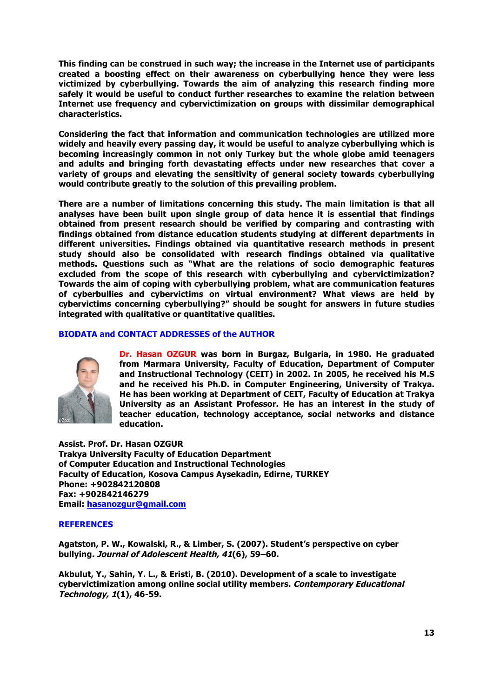**This finding can be construed in such way; the increase in the Internet use of participants created a boosting effect on their awareness on cyberbullying hence they were less victimized by cyberbullying. Towards the aim of analyzing this research finding more safely it would be useful to conduct further researches to examine the relation between Internet use frequency and cybervictimization on groups with dissimilar demographical characteristics.**

**Considering the fact that information and communication technologies are utilized more widely and heavily every passing day, it would be useful to analyze cyberbullying which is becoming increasingly common in not only Turkey but the whole globe amid teenagers and adults and bringing forth devastating effects under new researches that cover a variety of groups and elevating the sensitivity of general society towards cyberbullying would contribute greatly to the solution of this prevailing problem.** 

**There are a number of limitations concerning this study. The main limitation is that all analyses have been built upon single group of data hence it is essential that findings obtained from present research should be verified by comparing and contrasting with findings obtained from distance education students studying at different departments in different universities. Findings obtained via quantitative research methods in present study should also be consolidated with research findings obtained via qualitative methods. Questions such as "What are the relations of socio demographic features excluded from the scope of this research with cyberbullying and cybervictimization? Towards the aim of coping with cyberbullying problem, what are communication features of cyberbullies and cybervictims on virtual environment? What views are held by cybervictims concerning cyberbullying?" should be sought for answers in future studies integrated with qualitative or quantitative qualities.**

### **BIODATA and CONTACT ADDRESSES of the AUTHOR**



**Dr. Hasan OZGUR was born in Burgaz, Bulgaria, in 1980. He graduated from Marmara University, Faculty of Education, Department of Computer and Instructional Technology (CEIT) in 2002. In 2005, he received his M.S and he received his Ph.D. in Computer Engineering, University of Trakya. He has been working at Department of CEIT, Faculty of Education at Trakya University as an Assistant Professor. He has an interest in the study of teacher education, technology acceptance, social networks and distance education.**

**Assist. Prof. Dr. Hasan OZGUR Trakya University Faculty of Education Department of Computer Education and Instructional Technologies Faculty of Education, Kosova Campus Aysekadin, Edirne, TURKEY Phone: +902842120808 Fax: +902842146279 Email: hasanozgur@gmail.com**

# **REFERENCES**

**Agatston, P. W., Kowalski, R., & Limber, S. (2007). Student's perspective on cyber bullying. Journal of Adolescent Health, 41(6), 59–60.**

**Akbulut, Y., Sahin, Y. L., & Eristi, B. (2010). Development of a scale to investigate cybervictimization among online social utility members. Contemporary Educational Technology, 1(1), 46-59.**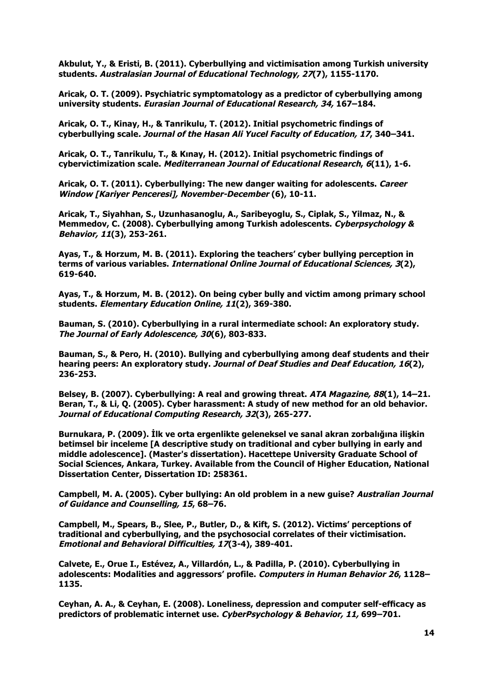**Akbulut, Y., & Eristi, B. (2011). Cyberbullying and victimisation among Turkish university students. Australasian Journal of Educational Technology, 27(7), 1155-1170.**

**Aricak, O. T. (2009). Psychiatric symptomatology as a predictor of cyberbullying among university students. Eurasian Journal of Educational Research, 34, 167–184.**

**Aricak, O. T., Kinay, H., & Tanrikulu, T. (2012). Initial psychometric findings of cyberbullying scale. Journal of the Hasan Ali Yucel Faculty of Education, 17, 340–341.**

**Aricak, O. T., Tanrikulu, T., & Kınay, H. (2012). Initial psychometric findings of cybervictimization scale. Mediterranean Journal of Educational Research, 6(11), 1-6.**

**Aricak, O. T. (2011). Cyberbullying: The new danger waiting for adolescents. Career Window [Kariyer Penceresi], November-December (6), 10-11.**

**Aricak, T., Siyahhan, S., Uzunhasanoglu, A., Saribeyoglu, S., Ciplak, S., Yilmaz, N., & Memmedov, C. (2008). Cyberbullying among Turkish adolescents. Cyberpsychology & Behavior, 11(3), 253-261.**

**Ayas, T., & Horzum, M. B. (2011). Exploring the teachers' cyber bullying perception in terms of various variables. International Online Journal of Educational Sciences, 3(2), 619-640.**

**Ayas, T., & Horzum, M. B. (2012). On being cyber bully and victim among primary school students. Elementary Education Online, 11(2), 369-380.**

**Bauman, S. (2010). Cyberbullying in a rural intermediate school: An exploratory study. The Journal of Early Adolescence, 30(6), 803-833.**

**Bauman, S., & Pero, H. (2010). Bullying and cyberbullying among deaf students and their hearing peers: An exploratory study. Journal of Deaf Studies and Deaf Education, 16(2), 236-253.**

**Belsey, B. (2007). Cyberbullying: A real and growing threat. ATA Magazine, 88(1), 14–21. Beran, T., & Li, Q. (2005). Cyber harassment: A study of new method for an old behavior. Journal of Educational Computing Research, 32(3), 265-277.**

**Burnukara, P. (2009). İlk ve orta ergenlikte geleneksel ve sanal akran zorbalığına ilişkin betimsel bir inceleme [A descriptive study on traditional and cyber bullying in early and middle adolescence]. (Master's dissertation). Hacettepe University Graduate School of Social Sciences, Ankara, Turkey. Available from the Council of Higher Education, National Dissertation Center, Dissertation ID: 258361.**

**Campbell, M. A. (2005). Cyber bullying: An old problem in a new guise? Australian Journal of Guidance and Counselling, 15, 68–76.**

**Campbell, M., Spears, B., Slee, P., Butler, D., & Kift, S. (2012). Victims' perceptions of traditional and cyberbullying, and the psychosocial correlates of their victimisation. Emotional and Behavioral Difficulties, 17(3-4), 389-401.**

**Calvete, E., Orue I., Estévez, A., Villardón, L., & Padilla, P. (2010). Cyberbullying in adolescents: Modalities and aggressors' profile. Computers in Human Behavior 26, 1128– 1135.**

**Ceyhan, A. A., & Ceyhan, E. (2008). Loneliness, depression and computer self-efficacy as predictors of problematic internet use. CyberPsychology & Behavior, 11, 699–701.**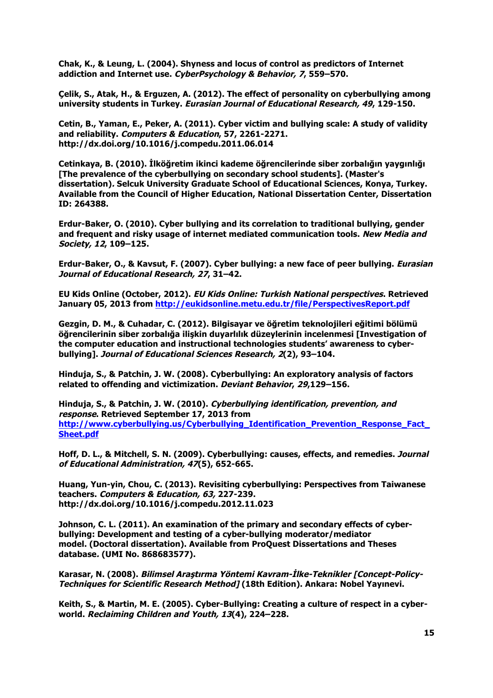**Chak, K., & Leung, L. (2004). Shyness and locus of control as predictors of Internet addiction and Internet use. CyberPsychology & Behavior, 7, 559–570.**

**Çelik, S., Atak, H., & Erguzen, A. (2012). The effect of personality on cyberbullying among university students in Turkey. Eurasian Journal of Educational Research, 49, 129-150.**

**Cetin, B., Yaman, E., Peker, A. (2011). Cyber victim and bullying scale: A study of validity and reliability. Computers & Education, 57, 2261-2271. http://dx.doi.org/10.1016/j.compedu.2011.06.014**

**Cetinkaya, B. (2010). İlköğretim ikinci kademe öğrencilerinde siber zorbalığın yaygınlığı [The prevalence of the cyberbullying on secondary school students]. (Master's dissertation). Selcuk University Graduate School of Educational Sciences, Konya, Turkey. Available from the Council of Higher Education, National Dissertation Center, Dissertation ID: 264388.**

**Erdur-Baker, O. (2010). Cyber bullying and its correlation to traditional bullying, gender and frequent and risky usage of internet mediated communication tools. New Media and Society, 12, 109–125.**

**Erdur-Baker, O., & Kavsut, F. (2007). Cyber bullying: a new face of peer bullying. Eurasian Journal of Educational Research, 27, 31–42.**

**EU Kids Online (October, 2012). EU Kids Online: Turkish National perspectives. Retrieved January 05, 2013 from http://eukidsonline.metu.edu.tr/file/PerspectivesReport.pdf**

**Gezgin, D. M., & Cuhadar, C. (2012). Bilgisayar ve öğretim teknolojileri eğitimi bölümü öğrencilerinin siber zorbalığa ilişkin duyarlılık düzeylerinin incelenmesi [Investigation of the computer education and instructional technologies students' awareness to cyberbullying]. Journal of Educational Sciences Research, 2(2), 93–104.**

**Hinduja, S., & Patchin, J. W. (2008). Cyberbullying: An exploratory analysis of factors related to offending and victimization. Deviant Behavior, 29,129–156.**

**Hinduja, S., & Patchin, J. W. (2010). Cyberbullying identification, prevention, and response. Retrieved September 17, 2013 from http://www.cyberbullying.us/Cyberbullying\_Identification\_Prevention\_Response\_Fact\_ Sheet.pdf**

**Hoff, D. L., & Mitchell, S. N. (2009). Cyberbullying: causes, effects, and remedies. Journal of Educational Administration, 47(5), 652-665.**

**Huang, Yun-yin, Chou, C. (2013). Revisiting cyberbullying: Perspectives from Taiwanese teachers. Computers & Education, 63, 227-239. http://dx.doi.org/10.1016/j.compedu.2012.11.023**

**Johnson, C. L. (2011). An examination of the primary and secondary effects of cyberbullying: Development and testing of a cyber-bullying moderator/mediator model. (Doctoral dissertation). Available from ProQuest Dissertations and Theses database. (UMI No. 868683577).**

**Karasar, N. (2008). Bilimsel Araştırma Yöntemi Kavram-İlke-Teknikler [Concept-Policy-Techniques for Scientific Research Method] (18th Edition). Ankara: Nobel Yayınevi.**

**Keith, S., & Martin, M. E. (2005). Cyber-Bullying: Creating a culture of respect in a cyberworld. Reclaiming Children and Youth, 13(4), 224–228.**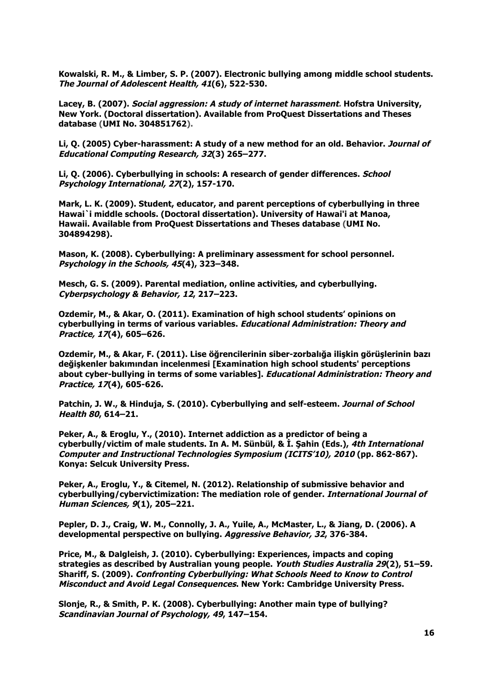**Kowalski, R. M., & Limber, S. P. (2007). Electronic bullying among middle school students. The Journal of Adolescent Health, 41(6), 522-530.**

**Lacey, B. (2007). Social aggression: A study of internet harassment. Hofstra University, New York. (Doctoral dissertation). Available from ProQuest Dissertations and Theses database (UMI No. 304851762).**

**Li, Q. (2005) Cyber-harassment: A study of a new method for an old. Behavior. Journal of Educational Computing Research, 32(3) 265–277.**

**Li, Q. (2006). Cyberbullying in schools: A research of gender differences. School Psychology International, 27(2), 157-170.**

**Mark, L. K. (2009). Student, educator, and parent perceptions of cyberbullying in three Hawai`i middle schools. (Doctoral dissertation). University of Hawai'i at Manoa, Hawaii. Available from ProQuest Dissertations and Theses database (UMI No. 304894298).**

**Mason, K. (2008). Cyberbullying: A preliminary assessment for school personnel. Psychology in the Schools, 45(4), 323–348.**

**Mesch, G. S. (2009). Parental mediation, online activities, and cyberbullying. Cyberpsychology & Behavior, 12, 217–223.**

**Ozdemir, M., & Akar, O. (2011). Examination of high school students' opinions on cyberbullying in terms of various variables. Educational Administration: Theory and Practice, 17(4), 605–626.**

**Ozdemir, M., & Akar, F. (2011). Lise öğrencilerinin siber-zorbalığa ilişkin görüşlerinin bazı değişkenler bakımından incelenmesi [Examination high school students' perceptions about cyber-bullying in terms of some variables]. Educational Administration: Theory and Practice, 17(4), 605-626.**

**Patchin, J. W., & Hinduja, S. (2010). Cyberbullying and self-esteem. Journal of School Health 80, 614–21.**

**Peker, A., & Eroglu, Y., (2010). Internet addiction as a predictor of being a cyberbully/victim of male students. In A. M. Sünbül, & İ. Şahin (Eds.), 4th International Computer and Instructional Technologies Symposium (ICITS'10), 2010 (pp. 862-867). Konya: Selcuk University Press.**

**Peker, A., Eroglu, Y., & Citemel, N. (2012). Relationship of submissive behavior and cyberbullying/cybervictimization: The mediation role of gender. International Journal of Human Sciences, 9(1), 205–221.**

**Pepler, D. J., Craig, W. M., Connolly, J. A., Yuile, A., McMaster, L., & Jiang, D. (2006). A developmental perspective on bullying. Aggressive Behavior, 32, 376-384.**

**Price, M., & Dalgleish, J. (2010). Cyberbullying: Experiences, impacts and coping strategies as described by Australian young people. Youth Studies Australia 29(2), 51–59. Shariff, S. (2009). Confronting Cyberbullying: What Schools Need to Know to Control Misconduct and Avoid Legal Consequences. New York: Cambridge University Press.**

**Slonje, R., & Smith, P. K. (2008). Cyberbullying: Another main type of bullying? Scandinavian Journal of Psychology, 49, 147–154.**